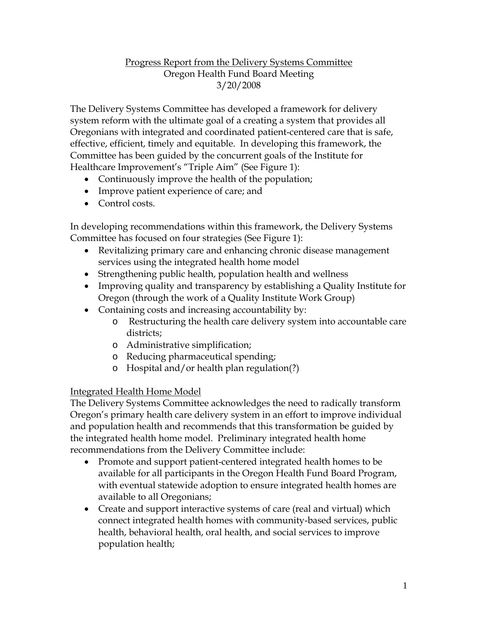### Progress Report from the Delivery Systems Committee Oregon Health Fund Board Meeting 3/20/2008

The Delivery Systems Committee has developed a framework for delivery system reform with the ultimate goal of a creating a system that provides all Oregonians with integrated and coordinated patient-centered care that is safe, effective, efficient, timely and equitable. In developing this framework, the Committee has been guided by the concurrent goals of the Institute for Healthcare Improvement's "Triple Aim" (See Figure 1):

- Continuously improve the health of the population;
- Improve patient experience of care; and
- Control costs.

In developing recommendations within this framework, the Delivery Systems Committee has focused on four strategies (See Figure 1):

- Revitalizing primary care and enhancing chronic disease management services using the integrated health home model
- Strengthening public health, population health and wellness
- Improving quality and transparency by establishing a Quality Institute for Oregon (through the work of a Quality Institute Work Group)
- Containing costs and increasing accountability by:
	- o Restructuring the health care delivery system into accountable care districts;
	- o Administrative simplification;
	- o Reducing pharmaceutical spending;
	- o Hospital and/or health plan regulation(?)

#### Integrated Health Home Model

The Delivery Systems Committee acknowledges the need to radically transform Oregon's primary health care delivery system in an effort to improve individual and population health and recommends that this transformation be guided by the integrated health home model. Preliminary integrated health home recommendations from the Delivery Committee include:

- Promote and support patient-centered integrated health homes to be available for all participants in the Oregon Health Fund Board Program, with eventual statewide adoption to ensure integrated health homes are available to all Oregonians;
- Create and support interactive systems of care (real and virtual) which connect integrated health homes with community-based services, public health, behavioral health, oral health, and social services to improve population health;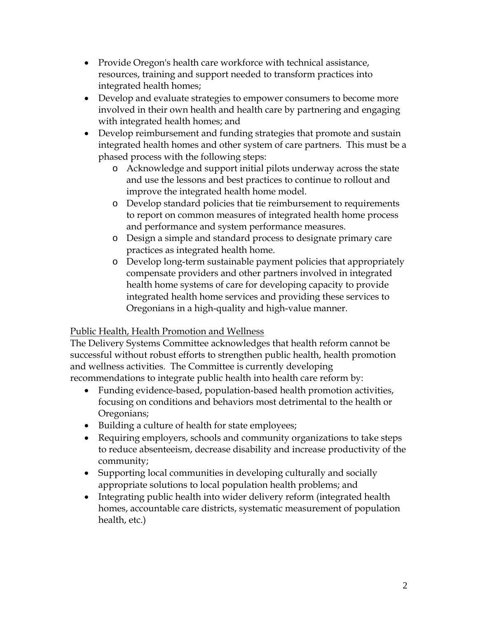- Provide Oregon's health care workforce with technical assistance, resources, training and support needed to transform practices into integrated health homes;
- Develop and evaluate strategies to empower consumers to become more involved in their own health and health care by partnering and engaging with integrated health homes; and
- Develop reimbursement and funding strategies that promote and sustain integrated health homes and other system of care partners. This must be a phased process with the following steps:
	- o Acknowledge and support initial pilots underway across the state and use the lessons and best practices to continue to rollout and improve the integrated health home model.
	- o Develop standard policies that tie reimbursement to requirements to report on common measures of integrated health home process and performance and system performance measures.
	- o Design a simple and standard process to designate primary care practices as integrated health home.
	- o Develop long-term sustainable payment policies that appropriately compensate providers and other partners involved in integrated health home systems of care for developing capacity to provide integrated health home services and providing these services to Oregonians in a high-quality and high-value manner.

# Public Health, Health Promotion and Wellness

The Delivery Systems Committee acknowledges that health reform cannot be successful without robust efforts to strengthen public health, health promotion and wellness activities. The Committee is currently developing recommendations to integrate public health into health care reform by:

- Funding evidence-based, population-based health promotion activities, focusing on conditions and behaviors most detrimental to the health or Oregonians;
- Building a culture of health for state employees;
- Requiring employers, schools and community organizations to take steps to reduce absenteeism, decrease disability and increase productivity of the community;
- Supporting local communities in developing culturally and socially appropriate solutions to local population health problems; and
- Integrating public health into wider delivery reform (integrated health homes, accountable care districts, systematic measurement of population health, etc.)